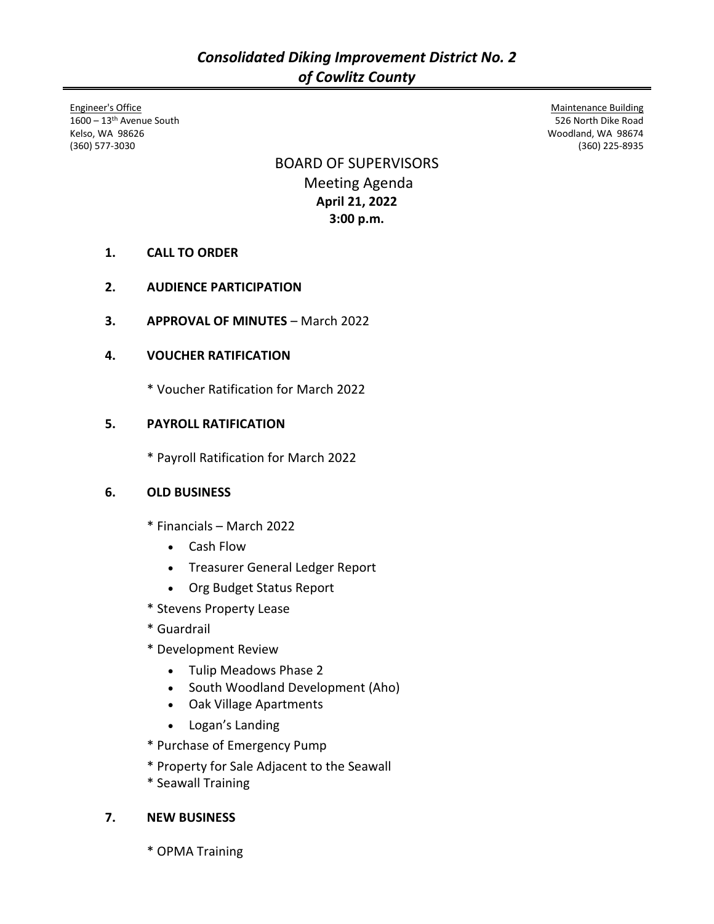Engineer's Office 1600 - 13<sup>th</sup> Avenue South Kelso, WA 98626 (360) 577-3030

BOARD OF SUPERVISORS Meeting Agenda **April 21, 2022 3:00 p.m.**

- **1. CALL TO ORDER**
- **2. AUDIENCE PARTICIPATION**
- **3. APPROVAL OF MINUTES** March 2022

# **4. VOUCHER RATIFICATION**

\* Voucher Ratification for March 2022

# **5. PAYROLL RATIFICATION**

\* Payroll Ratification for March 2022

## **6. OLD BUSINESS**

- \* Financials March 2022
	- Cash Flow
	- Treasurer General Ledger Report
	- Org Budget Status Report
- \* Stevens Property Lease
- \* Guardrail
- \* Development Review
	- Tulip Meadows Phase 2
	- South Woodland Development (Aho)
	- Oak Village Apartments
	- Logan's Landing
- \* Purchase of Emergency Pump
- \* Property for Sale Adjacent to the Seawall
- \* Seawall Training

## **7. NEW BUSINESS**

\* OPMA Training

Maintenance Building 526 North Dike Road Woodland, WA 98674 (360) 225-8935